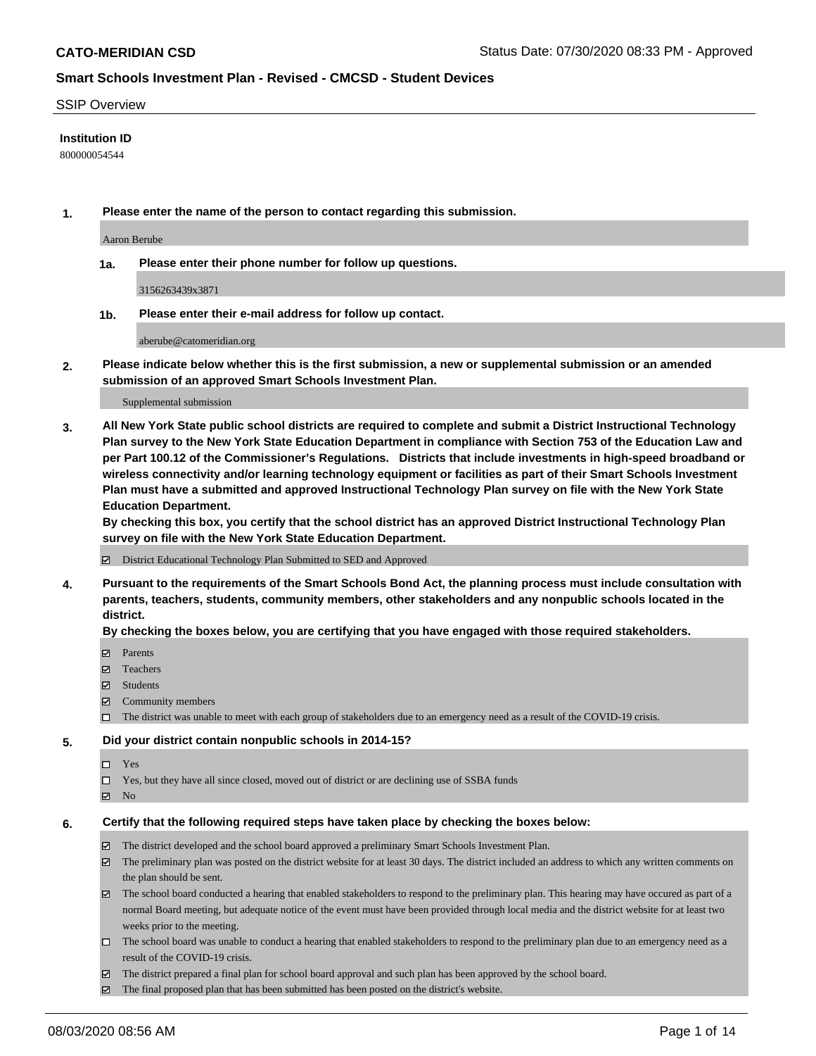### SSIP Overview

### **Institution ID**

800000054544

**1. Please enter the name of the person to contact regarding this submission.**

Aaron Berube

**1a. Please enter their phone number for follow up questions.**

3156263439x3871

**1b. Please enter their e-mail address for follow up contact.**

aberube@catomeridian.org

**2. Please indicate below whether this is the first submission, a new or supplemental submission or an amended submission of an approved Smart Schools Investment Plan.**

#### Supplemental submission

**3. All New York State public school districts are required to complete and submit a District Instructional Technology Plan survey to the New York State Education Department in compliance with Section 753 of the Education Law and per Part 100.12 of the Commissioner's Regulations. Districts that include investments in high-speed broadband or wireless connectivity and/or learning technology equipment or facilities as part of their Smart Schools Investment Plan must have a submitted and approved Instructional Technology Plan survey on file with the New York State Education Department.** 

**By checking this box, you certify that the school district has an approved District Instructional Technology Plan survey on file with the New York State Education Department.**

District Educational Technology Plan Submitted to SED and Approved

**4. Pursuant to the requirements of the Smart Schools Bond Act, the planning process must include consultation with parents, teachers, students, community members, other stakeholders and any nonpublic schools located in the district.** 

#### **By checking the boxes below, you are certifying that you have engaged with those required stakeholders.**

- **Parents**
- Teachers
- Students
- $\boxtimes$  Community members
- The district was unable to meet with each group of stakeholders due to an emergency need as a result of the COVID-19 crisis.

### **5. Did your district contain nonpublic schools in 2014-15?**

- $\neg$  Yes
- Yes, but they have all since closed, moved out of district or are declining use of SSBA funds
- **Z** No

#### **6. Certify that the following required steps have taken place by checking the boxes below:**

- The district developed and the school board approved a preliminary Smart Schools Investment Plan.
- $\boxtimes$  The preliminary plan was posted on the district website for at least 30 days. The district included an address to which any written comments on the plan should be sent.
- $\boxtimes$  The school board conducted a hearing that enabled stakeholders to respond to the preliminary plan. This hearing may have occured as part of a normal Board meeting, but adequate notice of the event must have been provided through local media and the district website for at least two weeks prior to the meeting.
- The school board was unable to conduct a hearing that enabled stakeholders to respond to the preliminary plan due to an emergency need as a result of the COVID-19 crisis.
- The district prepared a final plan for school board approval and such plan has been approved by the school board.
- $\boxtimes$  The final proposed plan that has been submitted has been posted on the district's website.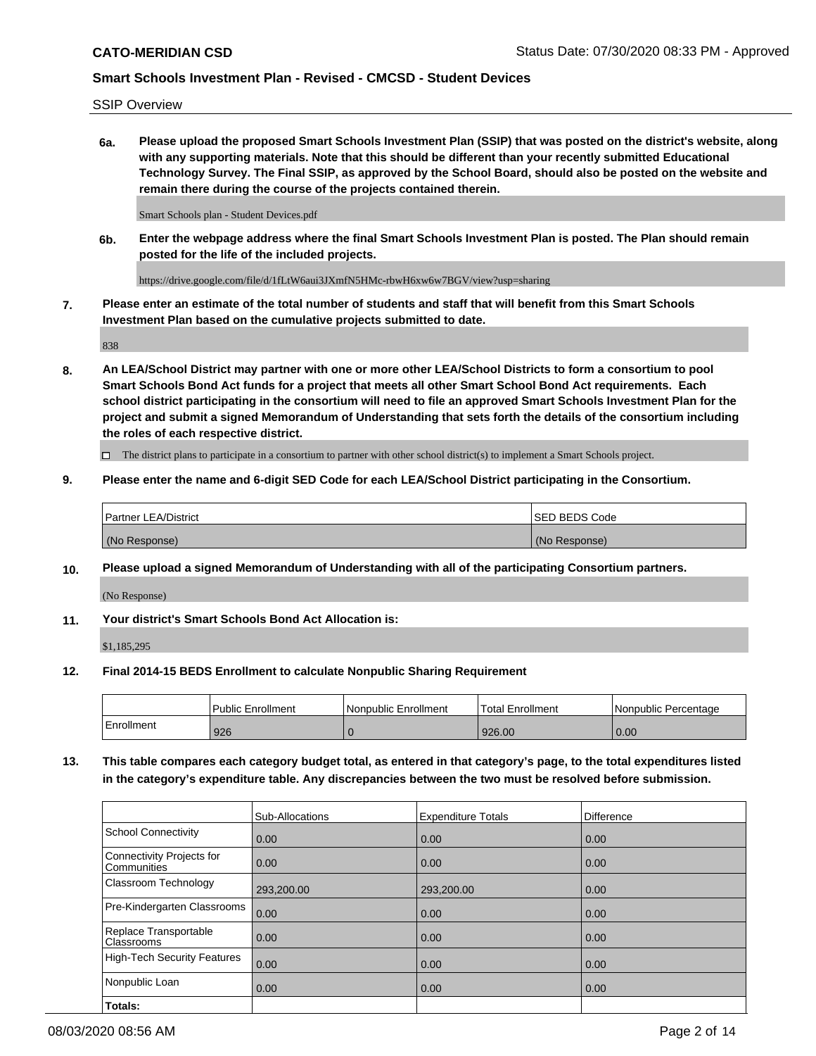SSIP Overview

**6a. Please upload the proposed Smart Schools Investment Plan (SSIP) that was posted on the district's website, along with any supporting materials. Note that this should be different than your recently submitted Educational Technology Survey. The Final SSIP, as approved by the School Board, should also be posted on the website and remain there during the course of the projects contained therein.**

Smart Schools plan - Student Devices.pdf

**6b. Enter the webpage address where the final Smart Schools Investment Plan is posted. The Plan should remain posted for the life of the included projects.**

https://drive.google.com/file/d/1fLtW6aui3JXmfN5HMc-rbwH6xw6w7BGV/view?usp=sharing

**7. Please enter an estimate of the total number of students and staff that will benefit from this Smart Schools Investment Plan based on the cumulative projects submitted to date.**

838

**8. An LEA/School District may partner with one or more other LEA/School Districts to form a consortium to pool Smart Schools Bond Act funds for a project that meets all other Smart School Bond Act requirements. Each school district participating in the consortium will need to file an approved Smart Schools Investment Plan for the project and submit a signed Memorandum of Understanding that sets forth the details of the consortium including the roles of each respective district.**

 $\Box$  The district plans to participate in a consortium to partner with other school district(s) to implement a Smart Schools project.

### **9. Please enter the name and 6-digit SED Code for each LEA/School District participating in the Consortium.**

| Partner LEA/District | <b>ISED BEDS Code</b> |
|----------------------|-----------------------|
| (No Response)        | (No Response)         |

## **10. Please upload a signed Memorandum of Understanding with all of the participating Consortium partners.**

(No Response)

## **11. Your district's Smart Schools Bond Act Allocation is:**

\$1,185,295

#### **12. Final 2014-15 BEDS Enrollment to calculate Nonpublic Sharing Requirement**

|            | Public Enrollment | Nonpublic Enrollment | Total Enrollment | I Nonpublic Percentage |
|------------|-------------------|----------------------|------------------|------------------------|
| Enrollment | 926               |                      | 926.00           | 0.00                   |

**13. This table compares each category budget total, as entered in that category's page, to the total expenditures listed in the category's expenditure table. Any discrepancies between the two must be resolved before submission.**

|                                          | Sub-Allocations | <b>Expenditure Totals</b> | <b>Difference</b> |
|------------------------------------------|-----------------|---------------------------|-------------------|
| <b>School Connectivity</b>               | 0.00            | 0.00                      | 0.00              |
| Connectivity Projects for<br>Communities | 0.00            | 0.00                      | 0.00              |
| Classroom Technology                     | 293,200.00      | 293,200.00                | 0.00              |
| Pre-Kindergarten Classrooms              | 0.00            | 0.00                      | 0.00              |
| Replace Transportable<br>Classrooms      | 0.00            | 0.00                      | 0.00              |
| High-Tech Security Features              | 0.00            | 0.00                      | 0.00              |
| Nonpublic Loan                           | 0.00            | 0.00                      | 0.00              |
| Totals:                                  |                 |                           |                   |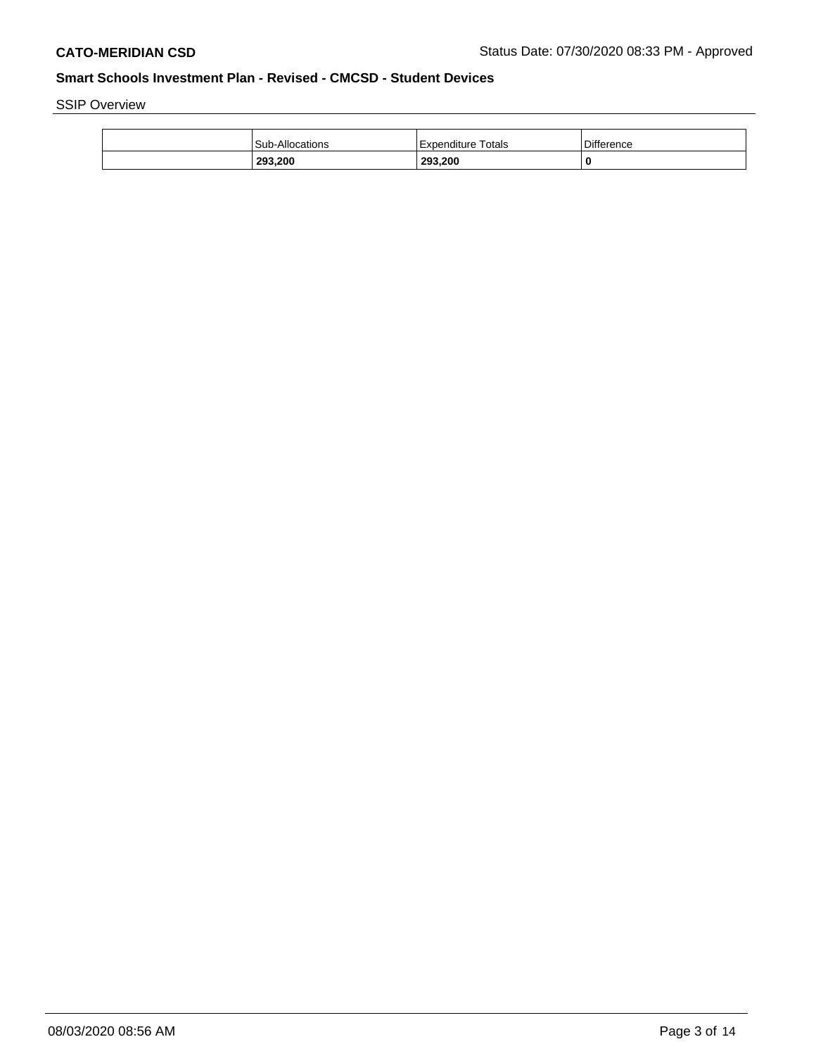SSIP Overview

| 293.200                | 293,200            | C          |
|------------------------|--------------------|------------|
| <b>Sub-Allocations</b> | Expenditure Totals | Difference |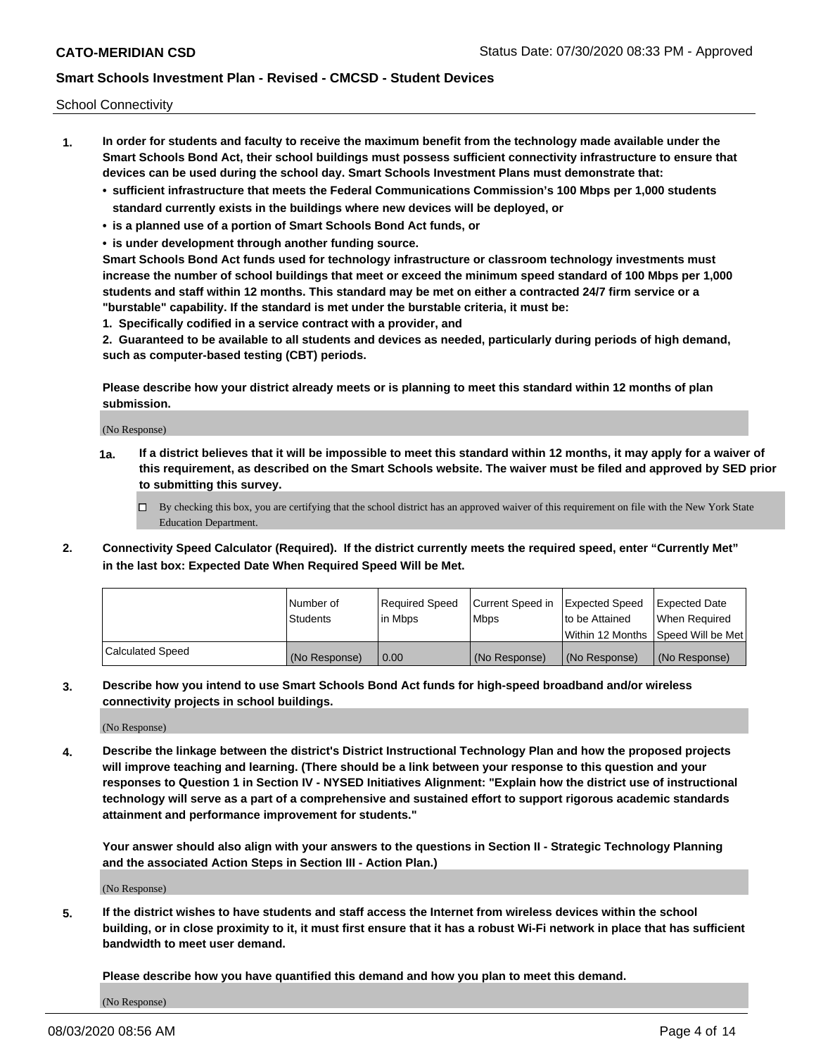School Connectivity

- **1. In order for students and faculty to receive the maximum benefit from the technology made available under the Smart Schools Bond Act, their school buildings must possess sufficient connectivity infrastructure to ensure that devices can be used during the school day. Smart Schools Investment Plans must demonstrate that:**
	- **• sufficient infrastructure that meets the Federal Communications Commission's 100 Mbps per 1,000 students standard currently exists in the buildings where new devices will be deployed, or**
	- **• is a planned use of a portion of Smart Schools Bond Act funds, or**
	- **• is under development through another funding source.**

**Smart Schools Bond Act funds used for technology infrastructure or classroom technology investments must increase the number of school buildings that meet or exceed the minimum speed standard of 100 Mbps per 1,000 students and staff within 12 months. This standard may be met on either a contracted 24/7 firm service or a "burstable" capability. If the standard is met under the burstable criteria, it must be:**

**1. Specifically codified in a service contract with a provider, and**

**2. Guaranteed to be available to all students and devices as needed, particularly during periods of high demand, such as computer-based testing (CBT) periods.**

**Please describe how your district already meets or is planning to meet this standard within 12 months of plan submission.**

(No Response)

**1a. If a district believes that it will be impossible to meet this standard within 12 months, it may apply for a waiver of this requirement, as described on the Smart Schools website. The waiver must be filed and approved by SED prior to submitting this survey.**

 $\Box$  By checking this box, you are certifying that the school district has an approved waiver of this requirement on file with the New York State Education Department.

**2. Connectivity Speed Calculator (Required). If the district currently meets the required speed, enter "Currently Met" in the last box: Expected Date When Required Speed Will be Met.**

|                  | l Number of     | Required Speed | Current Speed in | Expected Speed | Expected Date                        |
|------------------|-----------------|----------------|------------------|----------------|--------------------------------------|
|                  | <b>Students</b> | In Mbps        | <b>Mbps</b>      | to be Attained | When Required                        |
|                  |                 |                |                  |                | Within 12 Months 1Speed Will be Met1 |
| Calculated Speed | (No Response)   | 0.00           | (No Response)    | (No Response)  | l (No Response)                      |

**3. Describe how you intend to use Smart Schools Bond Act funds for high-speed broadband and/or wireless connectivity projects in school buildings.**

(No Response)

**4. Describe the linkage between the district's District Instructional Technology Plan and how the proposed projects will improve teaching and learning. (There should be a link between your response to this question and your responses to Question 1 in Section IV - NYSED Initiatives Alignment: "Explain how the district use of instructional technology will serve as a part of a comprehensive and sustained effort to support rigorous academic standards attainment and performance improvement for students."** 

**Your answer should also align with your answers to the questions in Section II - Strategic Technology Planning and the associated Action Steps in Section III - Action Plan.)**

(No Response)

**5. If the district wishes to have students and staff access the Internet from wireless devices within the school building, or in close proximity to it, it must first ensure that it has a robust Wi-Fi network in place that has sufficient bandwidth to meet user demand.**

**Please describe how you have quantified this demand and how you plan to meet this demand.**

(No Response)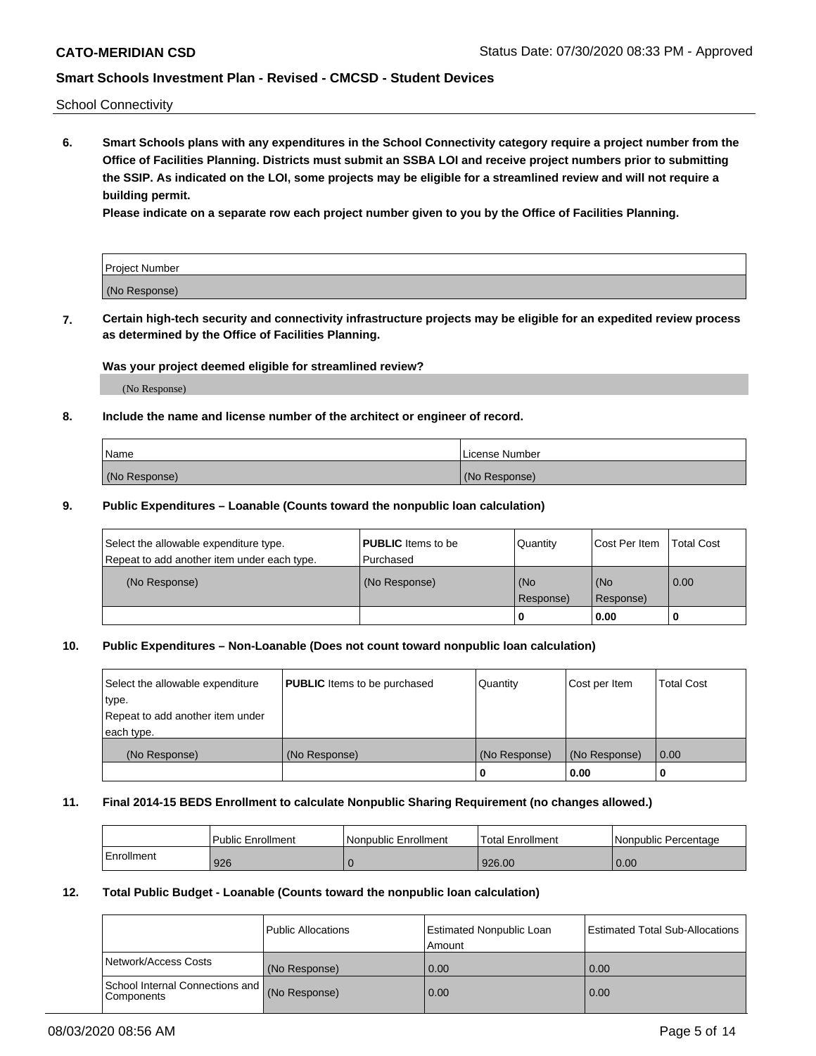School Connectivity

**6. Smart Schools plans with any expenditures in the School Connectivity category require a project number from the Office of Facilities Planning. Districts must submit an SSBA LOI and receive project numbers prior to submitting the SSIP. As indicated on the LOI, some projects may be eligible for a streamlined review and will not require a building permit.**

**Please indicate on a separate row each project number given to you by the Office of Facilities Planning.**

| Project Number |  |
|----------------|--|
| (No Response)  |  |

**7. Certain high-tech security and connectivity infrastructure projects may be eligible for an expedited review process as determined by the Office of Facilities Planning.**

### **Was your project deemed eligible for streamlined review?**

(No Response)

## **8. Include the name and license number of the architect or engineer of record.**

| Name          | License Number |
|---------------|----------------|
| (No Response) | (No Response)  |

### **9. Public Expenditures – Loanable (Counts toward the nonpublic loan calculation)**

| Select the allowable expenditure type.<br>Repeat to add another item under each type. | <b>PUBLIC</b> Items to be<br>l Purchased | Quantity         | l Cost Per Item  | <b>Total Cost</b> |
|---------------------------------------------------------------------------------------|------------------------------------------|------------------|------------------|-------------------|
| (No Response)                                                                         | (No Response)                            | (No<br>Response) | (No<br>Response) | 0.00              |
|                                                                                       |                                          | 0                | 0.00             |                   |

## **10. Public Expenditures – Non-Loanable (Does not count toward nonpublic loan calculation)**

| Select the allowable expenditure<br>type.<br>Repeat to add another item under<br>each type. | <b>PUBLIC</b> Items to be purchased | Quantity      | Cost per Item | <b>Total Cost</b> |
|---------------------------------------------------------------------------------------------|-------------------------------------|---------------|---------------|-------------------|
| (No Response)                                                                               | (No Response)                       | (No Response) | (No Response) | 0.00              |
|                                                                                             |                                     |               | 0.00          |                   |

#### **11. Final 2014-15 BEDS Enrollment to calculate Nonpublic Sharing Requirement (no changes allowed.)**

|            | Public Enrollment | Nonpublic Enrollment | Total Enrollment | l Nonpublic Percentage |
|------------|-------------------|----------------------|------------------|------------------------|
| Enrollment | 926               |                      | 926.00           | 0.00                   |

### **12. Total Public Budget - Loanable (Counts toward the nonpublic loan calculation)**

|                                                      | Public Allocations | <b>Estimated Nonpublic Loan</b><br>Amount | Estimated Total Sub-Allocations |
|------------------------------------------------------|--------------------|-------------------------------------------|---------------------------------|
| Network/Access Costs                                 | (No Response)      | 0.00                                      | 0.00                            |
| School Internal Connections and<br><b>Components</b> | (No Response)      | 0.00                                      | 0.00                            |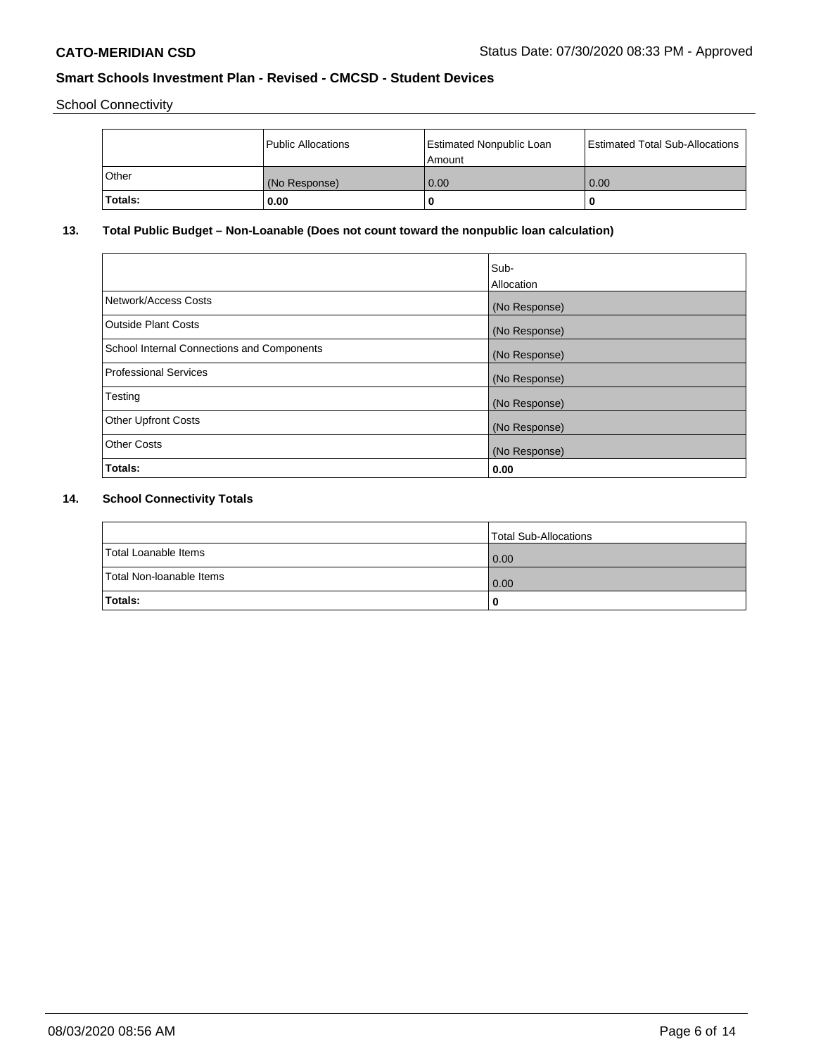School Connectivity

|         | Public Allocations | <b>Estimated Nonpublic Loan</b><br>l Amount | <b>Estimated Total Sub-Allocations</b> |
|---------|--------------------|---------------------------------------------|----------------------------------------|
| l Other | (No Response)      | 0.00                                        | 0.00                                   |
| Totals: | 0.00               | 0                                           |                                        |

# **13. Total Public Budget – Non-Loanable (Does not count toward the nonpublic loan calculation)**

|                                                   | Sub-<br>Allocation |
|---------------------------------------------------|--------------------|
| Network/Access Costs                              | (No Response)      |
| Outside Plant Costs                               | (No Response)      |
| <b>School Internal Connections and Components</b> | (No Response)      |
| Professional Services                             | (No Response)      |
| Testing                                           | (No Response)      |
| <b>Other Upfront Costs</b>                        | (No Response)      |
| <b>Other Costs</b>                                | (No Response)      |
| Totals:                                           | 0.00               |

# **14. School Connectivity Totals**

|                          | Total Sub-Allocations |
|--------------------------|-----------------------|
| Total Loanable Items     | 0.00                  |
| Total Non-Ioanable Items | 0.00                  |
| Totals:                  | 0                     |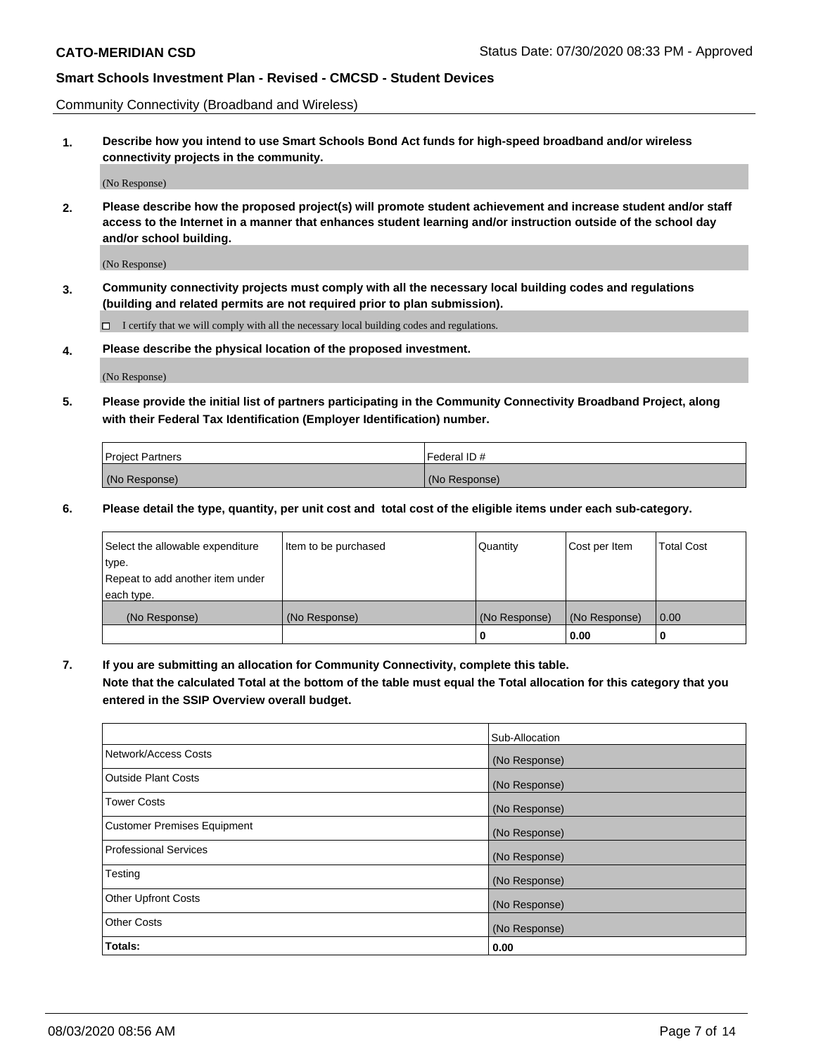Community Connectivity (Broadband and Wireless)

**1. Describe how you intend to use Smart Schools Bond Act funds for high-speed broadband and/or wireless connectivity projects in the community.**

(No Response)

**2. Please describe how the proposed project(s) will promote student achievement and increase student and/or staff access to the Internet in a manner that enhances student learning and/or instruction outside of the school day and/or school building.**

(No Response)

**3. Community connectivity projects must comply with all the necessary local building codes and regulations (building and related permits are not required prior to plan submission).**

 $\Box$  I certify that we will comply with all the necessary local building codes and regulations.

**4. Please describe the physical location of the proposed investment.**

(No Response)

**5. Please provide the initial list of partners participating in the Community Connectivity Broadband Project, along with their Federal Tax Identification (Employer Identification) number.**

| <b>Project Partners</b> | l Federal ID # |
|-------------------------|----------------|
| (No Response)           | (No Response)  |

**6. Please detail the type, quantity, per unit cost and total cost of the eligible items under each sub-category.**

| Select the allowable expenditure | Item to be purchased | Quantity      | Cost per Item | <b>Total Cost</b> |
|----------------------------------|----------------------|---------------|---------------|-------------------|
| type.                            |                      |               |               |                   |
| Repeat to add another item under |                      |               |               |                   |
| each type.                       |                      |               |               |                   |
| (No Response)                    | (No Response)        | (No Response) | (No Response) | 0.00              |
|                                  |                      | o             | 0.00          |                   |

**7. If you are submitting an allocation for Community Connectivity, complete this table.**

**Note that the calculated Total at the bottom of the table must equal the Total allocation for this category that you entered in the SSIP Overview overall budget.**

|                                    | Sub-Allocation |
|------------------------------------|----------------|
| Network/Access Costs               | (No Response)  |
| Outside Plant Costs                | (No Response)  |
| <b>Tower Costs</b>                 | (No Response)  |
| <b>Customer Premises Equipment</b> | (No Response)  |
| <b>Professional Services</b>       | (No Response)  |
| Testing                            | (No Response)  |
| <b>Other Upfront Costs</b>         | (No Response)  |
| <b>Other Costs</b>                 | (No Response)  |
| Totals:                            | 0.00           |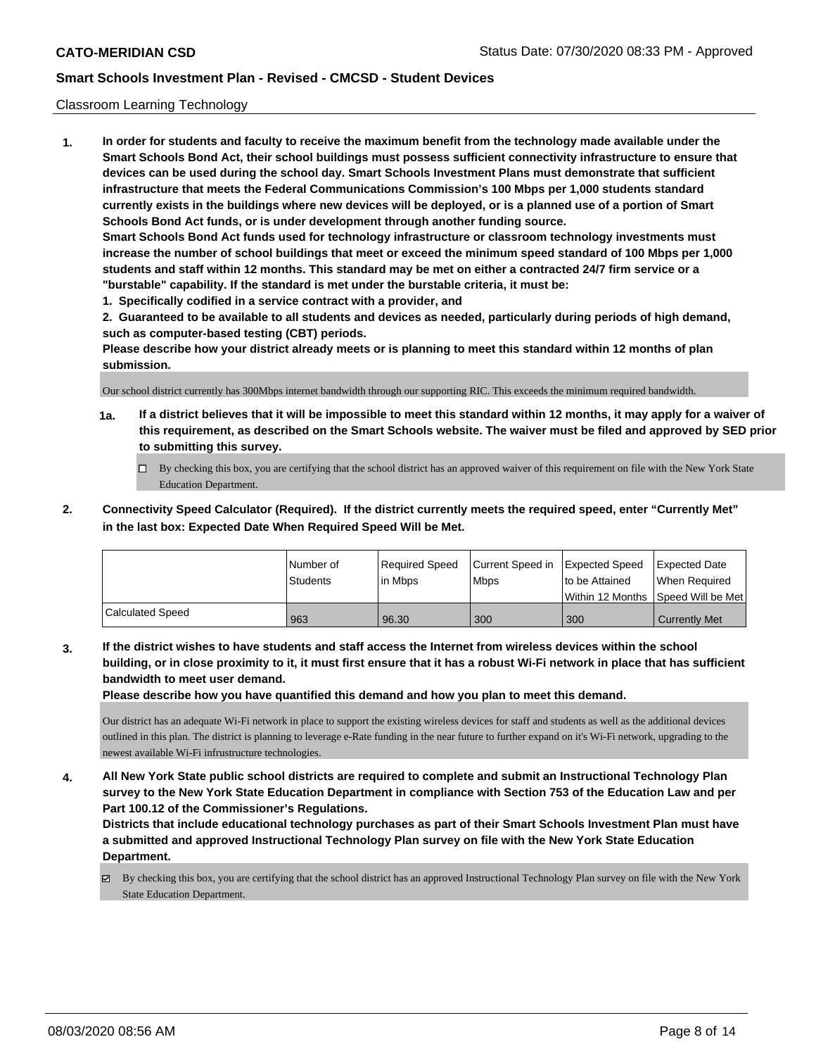### Classroom Learning Technology

**1. In order for students and faculty to receive the maximum benefit from the technology made available under the Smart Schools Bond Act, their school buildings must possess sufficient connectivity infrastructure to ensure that devices can be used during the school day. Smart Schools Investment Plans must demonstrate that sufficient infrastructure that meets the Federal Communications Commission's 100 Mbps per 1,000 students standard currently exists in the buildings where new devices will be deployed, or is a planned use of a portion of Smart Schools Bond Act funds, or is under development through another funding source. Smart Schools Bond Act funds used for technology infrastructure or classroom technology investments must increase the number of school buildings that meet or exceed the minimum speed standard of 100 Mbps per 1,000 students and staff within 12 months. This standard may be met on either a contracted 24/7 firm service or a "burstable" capability. If the standard is met under the burstable criteria, it must be:**

**1. Specifically codified in a service contract with a provider, and**

**2. Guaranteed to be available to all students and devices as needed, particularly during periods of high demand, such as computer-based testing (CBT) periods.**

**Please describe how your district already meets or is planning to meet this standard within 12 months of plan submission.**

Our school district currently has 300Mbps internet bandwidth through our supporting RIC. This exceeds the minimum required bandwidth.

- **1a. If a district believes that it will be impossible to meet this standard within 12 months, it may apply for a waiver of this requirement, as described on the Smart Schools website. The waiver must be filed and approved by SED prior to submitting this survey.**
	- By checking this box, you are certifying that the school district has an approved waiver of this requirement on file with the New York State Education Department.
- **2. Connectivity Speed Calculator (Required). If the district currently meets the required speed, enter "Currently Met" in the last box: Expected Date When Required Speed Will be Met.**

|                  | l Number of     | Required Speed | Current Speed in | Expected Speed     | Expected Date       |
|------------------|-----------------|----------------|------------------|--------------------|---------------------|
|                  | <b>Students</b> | l in Mbps      | <b>Mbps</b>      | Ito be Attained    | l When Reauired     |
|                  |                 |                |                  | l Within 12 Months | Speed Will be Met l |
| Calculated Speed | 963             | 96.30          | 300              | 300                | Currently Met       |

**3. If the district wishes to have students and staff access the Internet from wireless devices within the school building, or in close proximity to it, it must first ensure that it has a robust Wi-Fi network in place that has sufficient bandwidth to meet user demand.**

**Please describe how you have quantified this demand and how you plan to meet this demand.**

Our district has an adequate Wi-Fi network in place to support the existing wireless devices for staff and students as well as the additional devices outlined in this plan. The district is planning to leverage e-Rate funding in the near future to further expand on it's Wi-Fi network, upgrading to the newest available Wi-Fi infrustructure technologies.

**4. All New York State public school districts are required to complete and submit an Instructional Technology Plan survey to the New York State Education Department in compliance with Section 753 of the Education Law and per Part 100.12 of the Commissioner's Regulations.**

**Districts that include educational technology purchases as part of their Smart Schools Investment Plan must have a submitted and approved Instructional Technology Plan survey on file with the New York State Education Department.**

By checking this box, you are certifying that the school district has an approved Instructional Technology Plan survey on file with the New York State Education Department.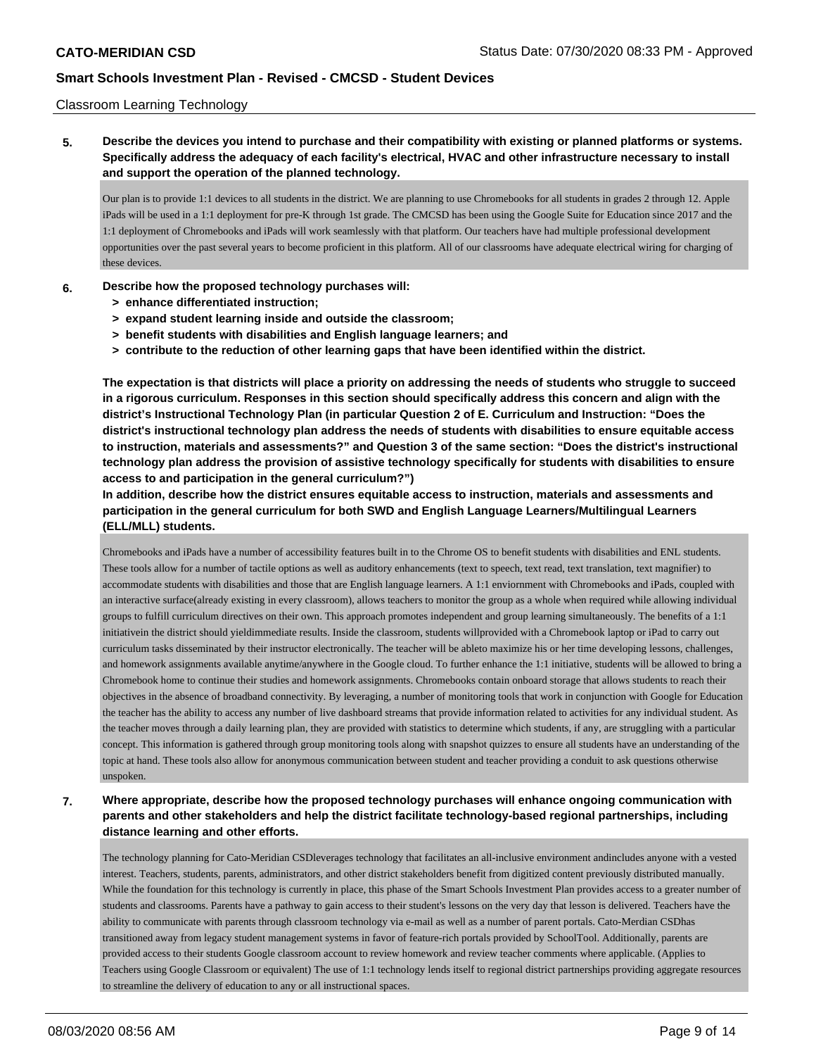### Classroom Learning Technology

**5. Describe the devices you intend to purchase and their compatibility with existing or planned platforms or systems. Specifically address the adequacy of each facility's electrical, HVAC and other infrastructure necessary to install and support the operation of the planned technology.**

Our plan is to provide 1:1 devices to all students in the district. We are planning to use Chromebooks for all students in grades 2 through 12. Apple iPads will be used in a 1:1 deployment for pre-K through 1st grade. The CMCSD has been using the Google Suite for Education since 2017 and the 1:1 deployment of Chromebooks and iPads will work seamlessly with that platform. Our teachers have had multiple professional development opportunities over the past several years to become proficient in this platform. All of our classrooms have adequate electrical wiring for charging of these devices.

- **6. Describe how the proposed technology purchases will:**
	- **> enhance differentiated instruction;**
	- **> expand student learning inside and outside the classroom;**
	- **> benefit students with disabilities and English language learners; and**
	- **> contribute to the reduction of other learning gaps that have been identified within the district.**

**The expectation is that districts will place a priority on addressing the needs of students who struggle to succeed in a rigorous curriculum. Responses in this section should specifically address this concern and align with the district's Instructional Technology Plan (in particular Question 2 of E. Curriculum and Instruction: "Does the district's instructional technology plan address the needs of students with disabilities to ensure equitable access to instruction, materials and assessments?" and Question 3 of the same section: "Does the district's instructional technology plan address the provision of assistive technology specifically for students with disabilities to ensure access to and participation in the general curriculum?")**

**In addition, describe how the district ensures equitable access to instruction, materials and assessments and participation in the general curriculum for both SWD and English Language Learners/Multilingual Learners (ELL/MLL) students.**

Chromebooks and iPads have a number of accessibility features built in to the Chrome OS to benefit students with disabilities and ENL students. These tools allow for a number of tactile options as well as auditory enhancements (text to speech, text read, text translation, text magnifier) to accommodate students with disabilities and those that are English language learners. A 1:1 enviornment with Chromebooks and iPads, coupled with an interactive surface(already existing in every classroom), allows teachers to monitor the group as a whole when required while allowing individual groups to fulfill curriculum directives on their own. This approach promotes independent and group learning simultaneously. The benefits of a 1:1 initiativein the district should yieldimmediate results. Inside the classroom, students willprovided with a Chromebook laptop or iPad to carry out curriculum tasks disseminated by their instructor electronically. The teacher will be ableto maximize his or her time developing lessons, challenges, and homework assignments available anytime/anywhere in the Google cloud. To further enhance the 1:1 initiative, students will be allowed to bring a Chromebook home to continue their studies and homework assignments. Chromebooks contain onboard storage that allows students to reach their objectives in the absence of broadband connectivity. By leveraging, a number of monitoring tools that work in conjunction with Google for Education the teacher has the ability to access any number of live dashboard streams that provide information related to activities for any individual student. As the teacher moves through a daily learning plan, they are provided with statistics to determine which students, if any, are struggling with a particular concept. This information is gathered through group monitoring tools along with snapshot quizzes to ensure all students have an understanding of the topic at hand. These tools also allow for anonymous communication between student and teacher providing a conduit to ask questions otherwise unspoken.

**7. Where appropriate, describe how the proposed technology purchases will enhance ongoing communication with parents and other stakeholders and help the district facilitate technology-based regional partnerships, including distance learning and other efforts.**

The technology planning for Cato-Meridian CSDleverages technology that facilitates an all-inclusive environment andincludes anyone with a vested interest. Teachers, students, parents, administrators, and other district stakeholders benefit from digitized content previously distributed manually. While the foundation for this technology is currently in place, this phase of the Smart Schools Investment Plan provides access to a greater number of students and classrooms. Parents have a pathway to gain access to their student's lessons on the very day that lesson is delivered. Teachers have the ability to communicate with parents through classroom technology via e-mail as well as a number of parent portals. Cato-Merdian CSDhas transitioned away from legacy student management systems in favor of feature-rich portals provided by SchoolTool. Additionally, parents are provided access to their students Google classroom account to review homework and review teacher comments where applicable. (Applies to Teachers using Google Classroom or equivalent) The use of 1:1 technology lends itself to regional district partnerships providing aggregate resources to streamline the delivery of education to any or all instructional spaces.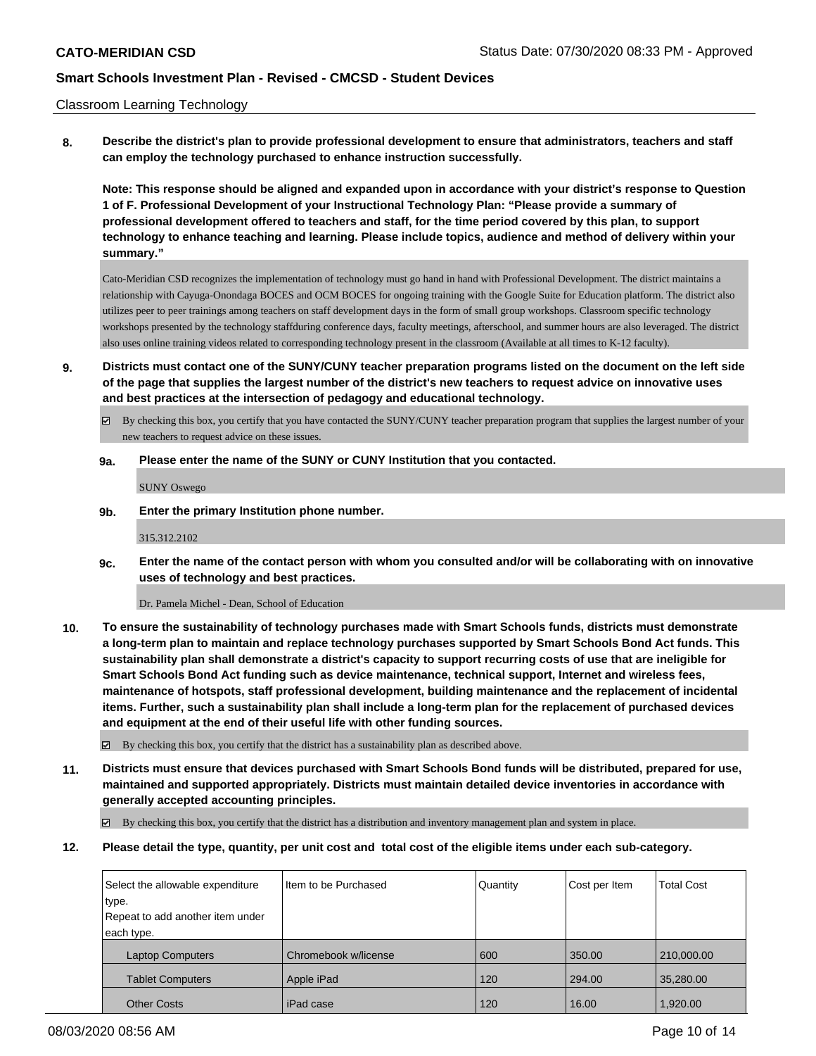### Classroom Learning Technology

**8. Describe the district's plan to provide professional development to ensure that administrators, teachers and staff can employ the technology purchased to enhance instruction successfully.**

**Note: This response should be aligned and expanded upon in accordance with your district's response to Question 1 of F. Professional Development of your Instructional Technology Plan: "Please provide a summary of professional development offered to teachers and staff, for the time period covered by this plan, to support technology to enhance teaching and learning. Please include topics, audience and method of delivery within your summary."**

Cato-Meridian CSD recognizes the implementation of technology must go hand in hand with Professional Development. The district maintains a relationship with Cayuga-Onondaga BOCES and OCM BOCES for ongoing training with the Google Suite for Education platform. The district also utilizes peer to peer trainings among teachers on staff development days in the form of small group workshops. Classroom specific technology workshops presented by the technology staffduring conference days, faculty meetings, afterschool, and summer hours are also leveraged. The district also uses online training videos related to corresponding technology present in the classroom (Available at all times to K-12 faculty).

- **9. Districts must contact one of the SUNY/CUNY teacher preparation programs listed on the document on the left side of the page that supplies the largest number of the district's new teachers to request advice on innovative uses and best practices at the intersection of pedagogy and educational technology.**
	- By checking this box, you certify that you have contacted the SUNY/CUNY teacher preparation program that supplies the largest number of your new teachers to request advice on these issues.

#### **9a. Please enter the name of the SUNY or CUNY Institution that you contacted.**

SUNY Oswego

**9b. Enter the primary Institution phone number.**

315.312.2102

**9c. Enter the name of the contact person with whom you consulted and/or will be collaborating with on innovative uses of technology and best practices.**

Dr. Pamela Michel - Dean, School of Education

**10. To ensure the sustainability of technology purchases made with Smart Schools funds, districts must demonstrate a long-term plan to maintain and replace technology purchases supported by Smart Schools Bond Act funds. This sustainability plan shall demonstrate a district's capacity to support recurring costs of use that are ineligible for Smart Schools Bond Act funding such as device maintenance, technical support, Internet and wireless fees, maintenance of hotspots, staff professional development, building maintenance and the replacement of incidental items. Further, such a sustainability plan shall include a long-term plan for the replacement of purchased devices and equipment at the end of their useful life with other funding sources.**

 $\boxtimes$  By checking this box, you certify that the district has a sustainability plan as described above.

**11. Districts must ensure that devices purchased with Smart Schools Bond funds will be distributed, prepared for use, maintained and supported appropriately. Districts must maintain detailed device inventories in accordance with generally accepted accounting principles.**

By checking this box, you certify that the district has a distribution and inventory management plan and system in place.

**12. Please detail the type, quantity, per unit cost and total cost of the eligible items under each sub-category.**

| Select the allowable expenditure | Iltem to be Purchased | Quantity | Cost per Item | <b>Total Cost</b> |
|----------------------------------|-----------------------|----------|---------------|-------------------|
| type.                            |                       |          |               |                   |
| Repeat to add another item under |                       |          |               |                   |
| each type.                       |                       |          |               |                   |
| <b>Laptop Computers</b>          | Chromebook w/license  | 600      | 350.00        | 210,000.00        |
| <b>Tablet Computers</b>          | Apple iPad            | 120      | 294.00        | 35,280.00         |
|                                  |                       |          |               |                   |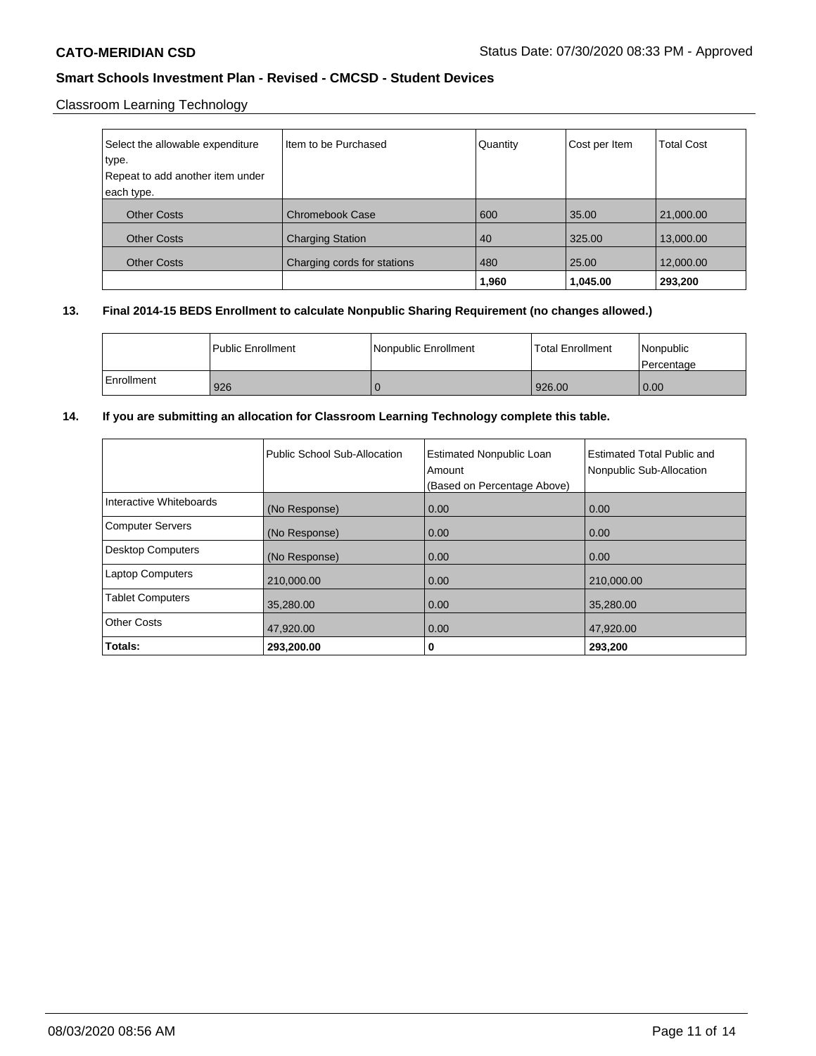# Classroom Learning Technology

| Select the allowable expenditure | I Item to be Purchased      | Quantity | Cost per Item | <b>Total Cost</b> |
|----------------------------------|-----------------------------|----------|---------------|-------------------|
| type.                            |                             |          |               |                   |
| Repeat to add another item under |                             |          |               |                   |
| each type.                       |                             |          |               |                   |
| <b>Other Costs</b>               | <b>Chromebook Case</b>      | 600      | 35.00         | 21,000.00         |
| <b>Other Costs</b>               | <b>Charging Station</b>     | 40       | 325.00        | 13,000.00         |
| <b>Other Costs</b>               | Charging cords for stations | 480      | 25.00         | 12,000.00         |
|                                  |                             | 1,960    | 1,045.00      | 293,200           |

# **13. Final 2014-15 BEDS Enrollment to calculate Nonpublic Sharing Requirement (no changes allowed.)**

|            | l Public Enrollment | l Nonpublic Enrollment | <b>Total Enrollment</b> | l Nonpublic<br>l Percentage |
|------------|---------------------|------------------------|-------------------------|-----------------------------|
| Enrollment | 926                 |                        | 926.00                  | 0.00                        |

## **14. If you are submitting an allocation for Classroom Learning Technology complete this table.**

|                          | Public School Sub-Allocation | <b>Estimated Nonpublic Loan</b><br>Amount<br>(Based on Percentage Above) | Estimated Total Public and<br>Nonpublic Sub-Allocation |
|--------------------------|------------------------------|--------------------------------------------------------------------------|--------------------------------------------------------|
| Interactive Whiteboards  | (No Response)                | 0.00                                                                     | 0.00                                                   |
| <b>Computer Servers</b>  | (No Response)                | 0.00                                                                     | 0.00                                                   |
| <b>Desktop Computers</b> | (No Response)                | 0.00                                                                     | 0.00                                                   |
| <b>Laptop Computers</b>  | 210,000.00                   | 0.00                                                                     | 210,000.00                                             |
| <b>Tablet Computers</b>  | 35,280.00                    | 0.00                                                                     | 35.280.00                                              |
| <b>Other Costs</b>       | 47,920.00                    | 0.00                                                                     | 47.920.00                                              |
| Totals:                  | 293,200.00                   | 0                                                                        | 293,200                                                |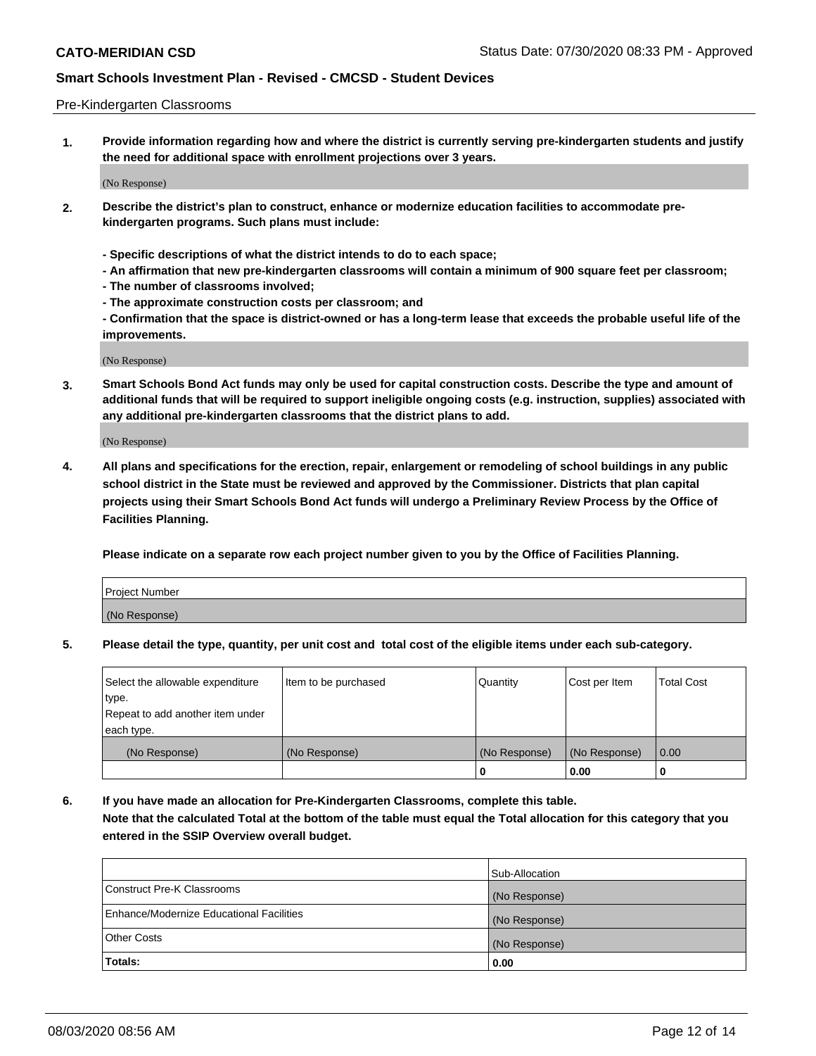### Pre-Kindergarten Classrooms

**1. Provide information regarding how and where the district is currently serving pre-kindergarten students and justify the need for additional space with enrollment projections over 3 years.**

(No Response)

- **2. Describe the district's plan to construct, enhance or modernize education facilities to accommodate prekindergarten programs. Such plans must include:**
	- **Specific descriptions of what the district intends to do to each space;**
	- **An affirmation that new pre-kindergarten classrooms will contain a minimum of 900 square feet per classroom;**
	- **The number of classrooms involved;**
	- **The approximate construction costs per classroom; and**
	- **Confirmation that the space is district-owned or has a long-term lease that exceeds the probable useful life of the improvements.**

(No Response)

**3. Smart Schools Bond Act funds may only be used for capital construction costs. Describe the type and amount of additional funds that will be required to support ineligible ongoing costs (e.g. instruction, supplies) associated with any additional pre-kindergarten classrooms that the district plans to add.**

(No Response)

**4. All plans and specifications for the erection, repair, enlargement or remodeling of school buildings in any public school district in the State must be reviewed and approved by the Commissioner. Districts that plan capital projects using their Smart Schools Bond Act funds will undergo a Preliminary Review Process by the Office of Facilities Planning.**

**Please indicate on a separate row each project number given to you by the Office of Facilities Planning.**

| Project Number |  |
|----------------|--|
| (No Response)  |  |
|                |  |

**5. Please detail the type, quantity, per unit cost and total cost of the eligible items under each sub-category.**

| Select the allowable expenditure | Item to be purchased | Quantity      | Cost per Item | <b>Total Cost</b> |
|----------------------------------|----------------------|---------------|---------------|-------------------|
| type.                            |                      |               |               |                   |
| Repeat to add another item under |                      |               |               |                   |
| each type.                       |                      |               |               |                   |
| (No Response)                    | (No Response)        | (No Response) | (No Response) | 0.00              |
|                                  |                      | U             | 0.00          |                   |

**6. If you have made an allocation for Pre-Kindergarten Classrooms, complete this table. Note that the calculated Total at the bottom of the table must equal the Total allocation for this category that you entered in the SSIP Overview overall budget.**

| Totals:                                  | 0.00           |
|------------------------------------------|----------------|
| <b>Other Costs</b>                       | (No Response)  |
| Enhance/Modernize Educational Facilities | (No Response)  |
| Construct Pre-K Classrooms               | (No Response)  |
|                                          | Sub-Allocation |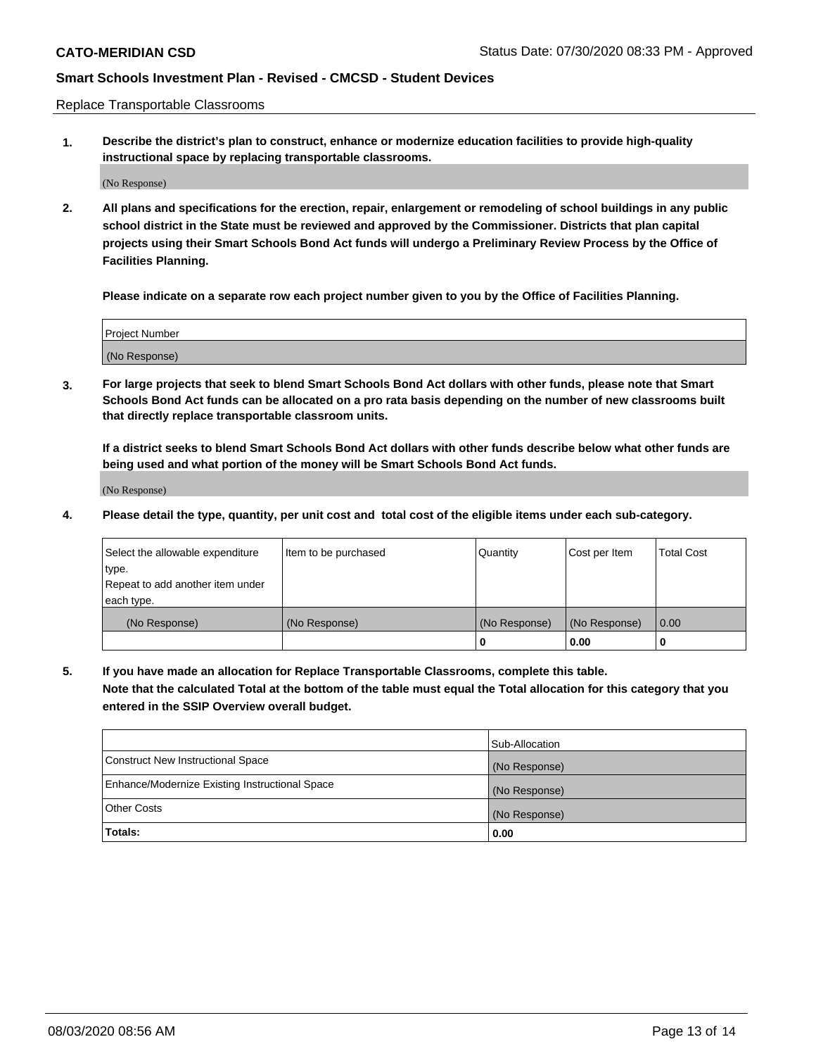Replace Transportable Classrooms

**1. Describe the district's plan to construct, enhance or modernize education facilities to provide high-quality instructional space by replacing transportable classrooms.**

(No Response)

**2. All plans and specifications for the erection, repair, enlargement or remodeling of school buildings in any public school district in the State must be reviewed and approved by the Commissioner. Districts that plan capital projects using their Smart Schools Bond Act funds will undergo a Preliminary Review Process by the Office of Facilities Planning.**

**Please indicate on a separate row each project number given to you by the Office of Facilities Planning.**

| Project Number |  |
|----------------|--|
|                |  |
| (No Response)  |  |

**3. For large projects that seek to blend Smart Schools Bond Act dollars with other funds, please note that Smart Schools Bond Act funds can be allocated on a pro rata basis depending on the number of new classrooms built that directly replace transportable classroom units.**

**If a district seeks to blend Smart Schools Bond Act dollars with other funds describe below what other funds are being used and what portion of the money will be Smart Schools Bond Act funds.**

(No Response)

**4. Please detail the type, quantity, per unit cost and total cost of the eligible items under each sub-category.**

| Select the allowable expenditure | Item to be purchased | Quantity      | Cost per Item | Total Cost |
|----------------------------------|----------------------|---------------|---------------|------------|
| ∣type.                           |                      |               |               |            |
| Repeat to add another item under |                      |               |               |            |
| each type.                       |                      |               |               |            |
| (No Response)                    | (No Response)        | (No Response) | (No Response) | 0.00       |
|                                  |                      | u             | 0.00          |            |

**5. If you have made an allocation for Replace Transportable Classrooms, complete this table. Note that the calculated Total at the bottom of the table must equal the Total allocation for this category that you entered in the SSIP Overview overall budget.**

|                                                | Sub-Allocation |
|------------------------------------------------|----------------|
| Construct New Instructional Space              | (No Response)  |
| Enhance/Modernize Existing Instructional Space | (No Response)  |
| Other Costs                                    | (No Response)  |
| Totals:                                        | 0.00           |